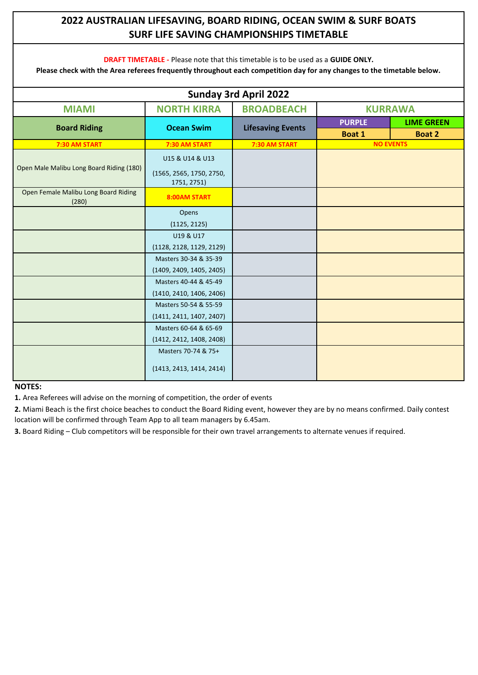**DRAFT TIMETABLE -** Please note that this timetable is to be used as a **GUIDE ONLY.**

**Please check with the Area referees frequently throughout each competition day for any changes to the timetable below.**

| <b>Sunday 3rd April 2022</b>                  |                                         |                          |                |                   |
|-----------------------------------------------|-----------------------------------------|--------------------------|----------------|-------------------|
| <b>MIAMI</b>                                  | <b>NORTH KIRRA</b>                      | <b>BROADBEACH</b>        | <b>KURRAWA</b> |                   |
| <b>Board Riding</b>                           | <b>Ocean Swim</b>                       | <b>Lifesaving Events</b> | <b>PURPLE</b>  | <b>LIME GREEN</b> |
|                                               |                                         |                          | <b>Boat 1</b>  | Boat 2            |
| 7:30 AM START                                 | 7:30 AM START                           | 7:30 AM START            |                | <b>NO EVENTS</b>  |
|                                               | U15 & U14 & U13                         |                          |                |                   |
| Open Male Malibu Long Board Riding (180)      | (1565, 2565, 1750, 2750,<br>1751, 2751) |                          |                |                   |
| Open Female Malibu Long Board Riding<br>(280) | 8:00AM START                            |                          |                |                   |
|                                               | Opens                                   |                          |                |                   |
|                                               | (1125, 2125)                            |                          |                |                   |
|                                               | U19 & U17                               |                          |                |                   |
|                                               | (1128, 2128, 1129, 2129)                |                          |                |                   |
|                                               | Masters 30-34 & 35-39                   |                          |                |                   |
|                                               | (1409, 2409, 1405, 2405)                |                          |                |                   |
|                                               | Masters 40-44 & 45-49                   |                          |                |                   |
|                                               | (1410, 2410, 1406, 2406)                |                          |                |                   |
|                                               | Masters 50-54 & 55-59                   |                          |                |                   |
|                                               | (1411, 2411, 1407, 2407)                |                          |                |                   |
|                                               | Masters 60-64 & 65-69                   |                          |                |                   |
|                                               | (1412, 2412, 1408, 2408)                |                          |                |                   |
|                                               | Masters 70-74 & 75+                     |                          |                |                   |
|                                               | (1413, 2413, 1414, 2414)                |                          |                |                   |

#### **NOTES:**

**1.** Area Referees will advise on the morning of competition, the order of events

**2.** Miami Beach is the first choice beaches to conduct the Board Riding event, however they are by no means confirmed. Daily contest location will be confirmed through Team App to all team managers by 6.45am.

**3.** Board Riding – Club competitors will be responsible for their own travel arrangements to alternate venues if required.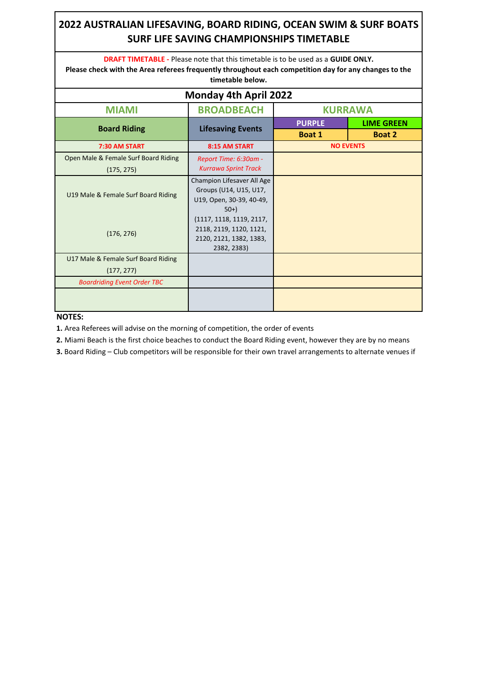**MIAMI BROADBEACH PURPLE LIME GREEN Boat 1 Boat 2 7:30 AM START 8:15 AM START** Open Male & Female Surf Board Riding (175, 275) U19 Male & Female Surf Board Riding Champion Lifesaver All Age Groups (U14, U15, U17, U19, Open, 30-39, 40-49, 50+) (176, 276) (1117, 1118, 1119, 2117, 2118, 2119, 1120, 1121, 2120, 2121, 1382, 1383, **KURRAWA Lifesaving Events DRAFT TIMETABLE -** Please note that this timetable is to be used as a **GUIDE ONLY. Please check with the Area referees frequently throughout each competition day for any changes to the timetable below. NO EVENTS Monday 4th April 2022 Board Riding** *Report Time: 6:30am - Kurrawa Sprint Track* 

# **NOTES:**

U17 Male & Female Surf Board Riding (177, 277) *Boardriding Event Order TBC*

**1.** Area Referees will advise on the morning of competition, the order of events

**2.** Miami Beach is the first choice beaches to conduct the Board Riding event, however they are by no means

2382, 2383)

3. Board Riding – Club competitors will be responsible for their own travel arrangements to alternate venues if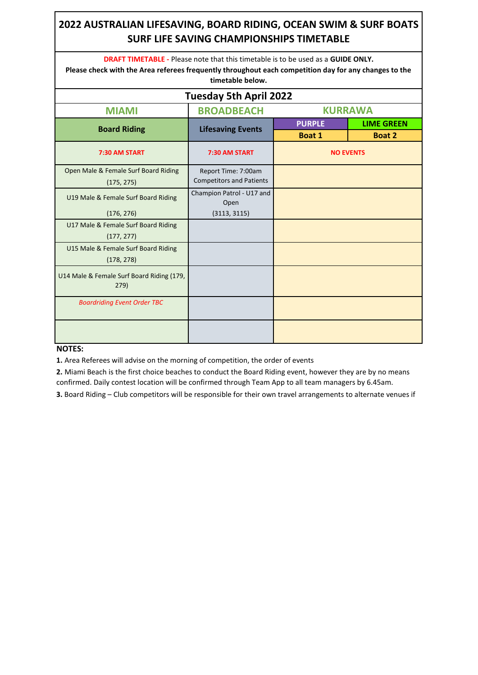**MIAMI BROADBEACH PURPLE LIME GREEN Boat 1 Boat 2** Open Male & Female Surf Board Riding (175, 275) U19 Male & Female Surf Board Riding Champion Patrol - U17 and Open (176, 276) (3113, 3115) U17 Male & Female Surf Board Riding (177, 277) U15 Male & Female Surf Board Riding (178, 278) **NO EVENTS KURRAWA DRAFT TIMETABLE -** Please note that this timetable is to be used as a **GUIDE ONLY. Please check with the Area referees frequently throughout each competition day for any changes to the timetable below. Tuesday 5th April 2022 Board Riding Lifesaving Events 7:30 AM START 7:30 AM START** Report Time: 7:00am Competitors and Patients U14 Male & Female Surf Board Riding (179, 279)

#### **NOTES:**

*Boardriding Event Order TBC*

**1.** Area Referees will advise on the morning of competition, the order of events

**2.** Miami Beach is the first choice beaches to conduct the Board Riding event, however they are by no means confirmed. Daily contest location will be confirmed through Team App to all team managers by 6.45am.

**3.** Board Riding – Club competitors will be responsible for their own travel arrangements to alternate venues if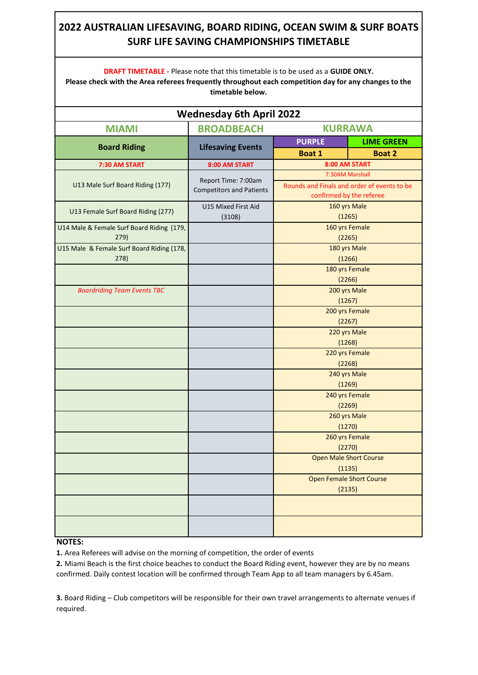**DRAFT TIMETABLE -** Please note that this timetable is to be used as a **GUIDE ONLY. Please check with the Area referees frequently throughout each competition day for any changes to the timetable below.**

| <b>Wednesday 6th April 2022</b>                   |                                 |                                           |                                                                         |
|---------------------------------------------------|---------------------------------|-------------------------------------------|-------------------------------------------------------------------------|
| <b>MIAMI</b>                                      | <b>BROADBEACH</b>               | <b>KURRAWA</b>                            |                                                                         |
| <b>Board Riding</b>                               | <b>Lifesaving Events</b>        | <b>PURPLE</b>                             | <b>LIME GREEN</b>                                                       |
|                                                   |                                 | <b>Boat 1</b>                             | <b>Boat 2</b>                                                           |
| 7:30 AM START                                     | 8:00 AM START                   | 8:00 AM START                             |                                                                         |
|                                                   | Report Time: 7:00am             | 7:30AM Marshall                           |                                                                         |
| U13 Male Surf Board Riding (177)                  | <b>Competitors and Patients</b> |                                           | Rounds and Finals and order of events to be<br>confirmed by the referee |
| U13 Female Surf Board Riding (277)                | U15 Mixed First Aid<br>(3108)   | 160 yrs Male<br>(1265)                    |                                                                         |
| U14 Male & Female Surf Board Riding (179,<br>279) |                                 | 160 yrs Female<br>(2265)                  |                                                                         |
| U15 Male & Female Surf Board Riding (178,<br>278) |                                 |                                           | 180 yrs Male<br>(1266)                                                  |
|                                                   |                                 | 180 yrs Female<br>(2266)                  |                                                                         |
| <b>Boardriding Team Events TBC</b>                |                                 |                                           | 200 yrs Male                                                            |
|                                                   |                                 | (1267)                                    |                                                                         |
|                                                   |                                 | 200 yrs Female                            |                                                                         |
|                                                   |                                 | (2267)                                    |                                                                         |
|                                                   |                                 | 220 yrs Male                              |                                                                         |
|                                                   |                                 | (1268)<br>220 yrs Female                  |                                                                         |
|                                                   |                                 |                                           |                                                                         |
|                                                   |                                 |                                           | (2268)<br>240 yrs Male                                                  |
|                                                   |                                 |                                           |                                                                         |
|                                                   |                                 | (1269)<br>240 yrs Female                  |                                                                         |
|                                                   |                                 |                                           | (2269)                                                                  |
|                                                   |                                 | 260 yrs Male                              |                                                                         |
|                                                   |                                 |                                           | (1270)                                                                  |
|                                                   |                                 | 260 yrs Female                            |                                                                         |
|                                                   |                                 | (2270)                                    |                                                                         |
|                                                   |                                 | <b>Open Male Short Course</b>             |                                                                         |
|                                                   |                                 | (1135)                                    |                                                                         |
|                                                   |                                 | <b>Open Female Short Course</b><br>(2135) |                                                                         |
|                                                   |                                 |                                           |                                                                         |
|                                                   |                                 |                                           |                                                                         |
|                                                   |                                 |                                           |                                                                         |

#### **NOTES:**

**1.** Area Referees will advise on the morning of competition, the order of events

**2.** Miami Beach is the first choice beaches to conduct the Board Riding event, however they are by no means confirmed. Daily contest location will be confirmed through Team App to all team managers by 6.45am.

**3.** Board Riding – Club competitors will be responsible for their own travel arrangements to alternate venues if required.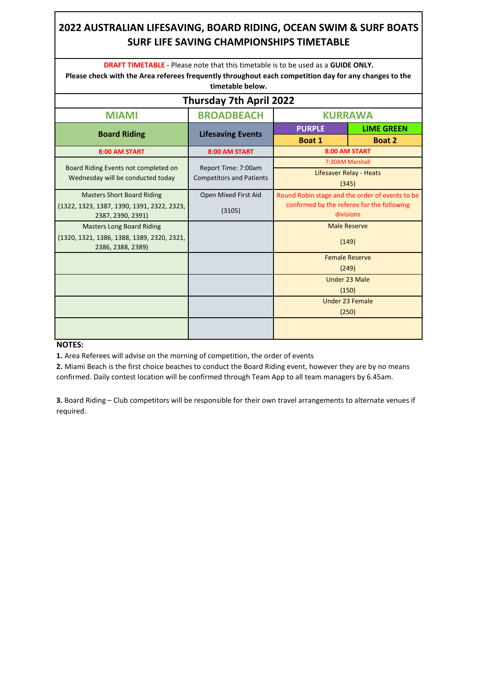| <b>DRAFT TIMETABLE</b> - Please note that this timetable is to be used as a <b>GUIDE ONLY.</b><br>Please check with the Area referees frequently throughout each competition day for any changes to the<br>timetable below. |                                                        |                                                 |                   |  |
|-----------------------------------------------------------------------------------------------------------------------------------------------------------------------------------------------------------------------------|--------------------------------------------------------|-------------------------------------------------|-------------------|--|
| <b>Thursday 7th April 2022</b>                                                                                                                                                                                              |                                                        |                                                 |                   |  |
| <b>MIAMI</b>                                                                                                                                                                                                                | <b>BROADBEACH</b>                                      | <b>KURRAWA</b>                                  |                   |  |
| <b>Board Riding</b>                                                                                                                                                                                                         | <b>Lifesaving Events</b>                               | <b>PURPLE</b>                                   | <b>LIME GREEN</b> |  |
|                                                                                                                                                                                                                             |                                                        | <b>Boat 1</b>                                   | <b>Boat 2</b>     |  |
| 8:00 AM START                                                                                                                                                                                                               | 8:00 AM START                                          | 8:00 AM START                                   |                   |  |
| Board Riding Events not completed on                                                                                                                                                                                        | Report Time: 7:00am<br><b>Competitors and Patients</b> | 7:30AM Marshall                                 |                   |  |
| Wednesday will be conducted today                                                                                                                                                                                           |                                                        | Lifesaver Relay - Heats                         |                   |  |
|                                                                                                                                                                                                                             |                                                        | (345)                                           |                   |  |
| <b>Masters Short Board Riding</b>                                                                                                                                                                                           | Open Mixed First Aid                                   | Round Robin stage and the order of events to be |                   |  |
| (1322, 1323, 1387, 1390, 1391, 2322, 2323,                                                                                                                                                                                  | (3105)                                                 | confirmed by the referee for the following      |                   |  |
| 2387, 2390, 2391)                                                                                                                                                                                                           |                                                        | divisions                                       |                   |  |
| <b>Masters Long Board Riding</b>                                                                                                                                                                                            |                                                        | <b>Male Reserve</b>                             |                   |  |
| (1320, 1321, 1386, 1388, 1389, 2320, 2321,<br>2386, 2388, 2389)                                                                                                                                                             |                                                        | (149)                                           |                   |  |
|                                                                                                                                                                                                                             |                                                        | <b>Female Reserve</b>                           |                   |  |
|                                                                                                                                                                                                                             |                                                        | (249)                                           |                   |  |
|                                                                                                                                                                                                                             |                                                        | <b>Under 23 Male</b>                            |                   |  |
|                                                                                                                                                                                                                             |                                                        | (150)                                           |                   |  |
|                                                                                                                                                                                                                             |                                                        | Under 23 Female                                 |                   |  |
|                                                                                                                                                                                                                             |                                                        | (250)                                           |                   |  |
|                                                                                                                                                                                                                             |                                                        |                                                 |                   |  |

#### **NOTES:**

**1.** Area Referees will advise on the morning of competition, the order of events

**2.** Miami Beach is the first choice beaches to conduct the Board Riding event, however they are by no means confirmed. Daily contest location will be confirmed through Team App to all team managers by 6.45am.

**3.** Board Riding – Club competitors will be responsible for their own travel arrangements to alternate venues if required.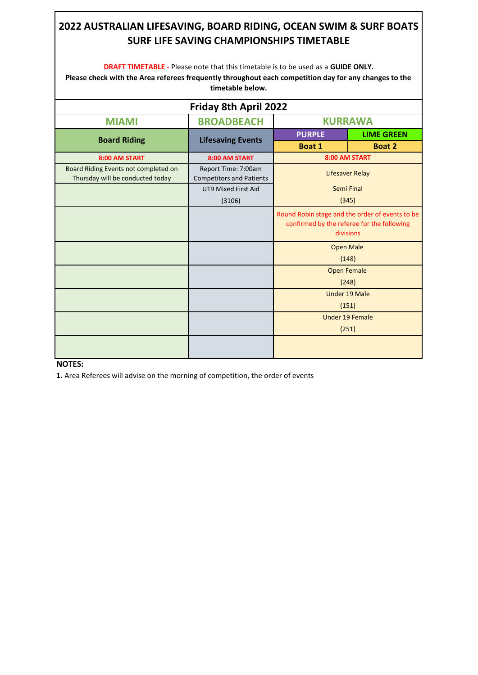**DRAFT TIMETABLE -** Please note that this timetable is to be used as a **GUIDE ONLY. Please check with the Area referees frequently throughout each competition day for any changes to the timetable below.**

| Friday 8th April 2022                                                    |                                                        |                                                                                                            |                        |
|--------------------------------------------------------------------------|--------------------------------------------------------|------------------------------------------------------------------------------------------------------------|------------------------|
| <b>MIAMI</b>                                                             | <b>BROADBEACH</b>                                      | <b>KURRAWA</b>                                                                                             |                        |
|                                                                          |                                                        | <b>PURPLE</b>                                                                                              | <b>LIME GREEN</b>      |
| <b>Board Riding</b>                                                      | <b>Lifesaving Events</b>                               | <b>Boat 1</b>                                                                                              | <b>Boat 2</b>          |
| 8:00 AM START                                                            | 8:00 AM START                                          | 8:00 AM START                                                                                              |                        |
| Board Riding Events not completed on<br>Thursday will be conducted today | Report Time: 7:00am<br><b>Competitors and Patients</b> | <b>Lifesaver Relay</b><br><b>Semi Final</b><br>(345)                                                       |                        |
|                                                                          | U19 Mixed First Aid                                    |                                                                                                            |                        |
|                                                                          | (3106)                                                 |                                                                                                            |                        |
|                                                                          |                                                        | Round Robin stage and the order of events to be<br>confirmed by the referee for the following<br>divisions |                        |
|                                                                          |                                                        | <b>Open Male</b><br>(148)                                                                                  |                        |
|                                                                          |                                                        | <b>Open Female</b>                                                                                         |                        |
|                                                                          |                                                        |                                                                                                            | (248)                  |
|                                                                          |                                                        | <b>Under 19 Male</b>                                                                                       |                        |
|                                                                          |                                                        | (151)                                                                                                      |                        |
|                                                                          |                                                        |                                                                                                            | <b>Under 19 Female</b> |
|                                                                          |                                                        |                                                                                                            | (251)                  |
|                                                                          |                                                        |                                                                                                            |                        |

#### **NOTES:**

**1.** Area Referees will advise on the morning of competition, the order of events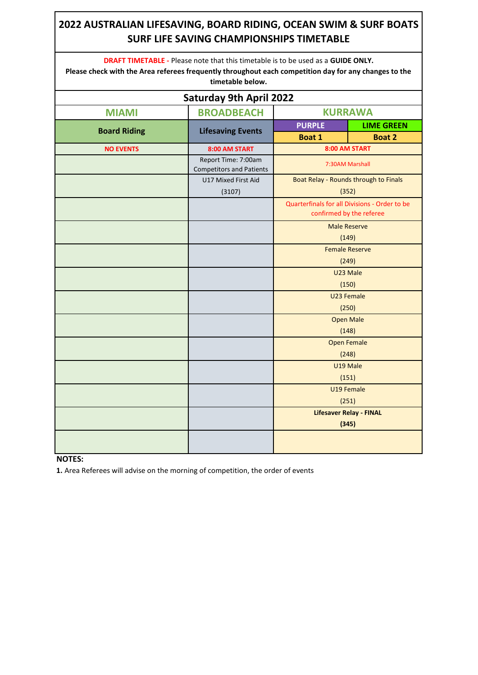| <b>DRAFT TIMETABLE</b> - Please note that this timetable is to be used as a <b>GUIDE ONLY.</b><br>Please check with the Area referees frequently throughout each competition day for any changes to the<br>timetable below. |                                                        |                                                                           |                   |
|-----------------------------------------------------------------------------------------------------------------------------------------------------------------------------------------------------------------------------|--------------------------------------------------------|---------------------------------------------------------------------------|-------------------|
|                                                                                                                                                                                                                             | <b>Saturday 9th April 2022</b>                         |                                                                           |                   |
| <b>MIAMI</b>                                                                                                                                                                                                                | <b>BROADBEACH</b>                                      | <b>KURRAWA</b>                                                            |                   |
| <b>Board Riding</b>                                                                                                                                                                                                         | <b>Lifesaving Events</b>                               | <b>PURPLE</b>                                                             | <b>LIME GREEN</b> |
|                                                                                                                                                                                                                             |                                                        | <b>Boat 1</b>                                                             | <b>Boat 2</b>     |
| <b>NO EVENTS</b>                                                                                                                                                                                                            | 8:00 AM START                                          | 8:00 AM START                                                             |                   |
|                                                                                                                                                                                                                             | Report Time: 7:00am<br><b>Competitors and Patients</b> | 7:30AM Marshall                                                           |                   |
|                                                                                                                                                                                                                             | U17 Mixed First Aid                                    | Boat Relay - Rounds through to Finals                                     |                   |
|                                                                                                                                                                                                                             | (3107)                                                 | (352)                                                                     |                   |
|                                                                                                                                                                                                                             |                                                        | Quarterfinals for all Divisions - Order to be<br>confirmed by the referee |                   |
|                                                                                                                                                                                                                             |                                                        | <b>Male Reserve</b>                                                       |                   |
|                                                                                                                                                                                                                             |                                                        | (149)                                                                     |                   |
|                                                                                                                                                                                                                             |                                                        | <b>Female Reserve</b>                                                     |                   |
|                                                                                                                                                                                                                             |                                                        | (249)                                                                     |                   |
|                                                                                                                                                                                                                             |                                                        | U23 Male                                                                  |                   |
|                                                                                                                                                                                                                             |                                                        | (150)                                                                     |                   |
|                                                                                                                                                                                                                             |                                                        | U23 Female                                                                |                   |
|                                                                                                                                                                                                                             |                                                        | (250)                                                                     |                   |
|                                                                                                                                                                                                                             |                                                        | <b>Open Male</b>                                                          |                   |
|                                                                                                                                                                                                                             |                                                        | (148)                                                                     |                   |
|                                                                                                                                                                                                                             |                                                        | <b>Open Female</b>                                                        |                   |

**(345)**

(248)

U19 Male (151) U19 Female (251) **Lifesaver Relay - FINAL**

**NOTES:**

**1.** Area Referees will advise on the morning of competition, the order of events